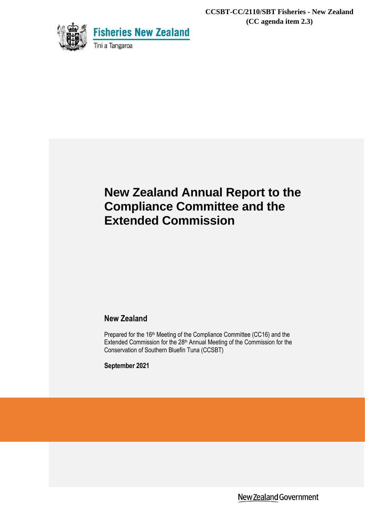**CCSBT-CC/2110/SBT Fisheries - New Zealand (CC agenda item 2.3)**



# **New Zealand Annual Report to the Compliance Committee and the Extended Commission**

## **New Zealand**

Prepared for the 16<sup>th</sup> Meeting of the Compliance Committee (CC16) and the Extended Commission for the 28<sup>th</sup> Annual Meeting of the Commission for the Conservation of Southern Bluefin Tuna (CCSBT)

**September 2021**

New Zealand Government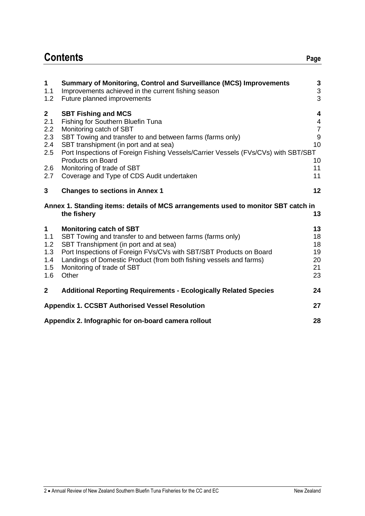# **Contents Page**

| $\mathbf 1$<br>1.1<br>1.2                                       | <b>Summary of Monitoring, Control and Surveillance (MCS) Improvements</b><br>Improvements achieved in the current fishing season<br>Future planned improvements                                                                                                                                                                                                                               | 3<br>3<br>3                                                                  |
|-----------------------------------------------------------------|-----------------------------------------------------------------------------------------------------------------------------------------------------------------------------------------------------------------------------------------------------------------------------------------------------------------------------------------------------------------------------------------------|------------------------------------------------------------------------------|
| $\overline{2}$<br>2.1<br>2.2<br>2.3<br>2.4<br>2.5<br>2.6<br>2.7 | <b>SBT Fishing and MCS</b><br>Fishing for Southern Bluefin Tuna<br>Monitoring catch of SBT<br>SBT Towing and transfer to and between farms (farms only)<br>SBT transhipment (in port and at sea)<br>Port Inspections of Foreign Fishing Vessels/Carrier Vessels (FVs/CVs) with SBT/SBT<br><b>Products on Board</b><br>Monitoring of trade of SBT<br>Coverage and Type of CDS Audit undertaken | 4<br>$\overline{\mathcal{A}}$<br>$\overline{7}$<br>9<br>10<br>10<br>11<br>11 |
| 3                                                               | <b>Changes to sections in Annex 1</b>                                                                                                                                                                                                                                                                                                                                                         | 12                                                                           |
|                                                                 | Annex 1. Standing items: details of MCS arrangements used to monitor SBT catch in<br>the fishery                                                                                                                                                                                                                                                                                              | 13                                                                           |
| $\mathbf 1$<br>1.1<br>1.2<br>1.3<br>1.4<br>1.5<br>1.6           | <b>Monitoring catch of SBT</b><br>SBT Towing and transfer to and between farms (farms only)<br>SBT Transhipment (in port and at sea)<br>Port Inspections of Foreign FVs/CVs with SBT/SBT Products on Board<br>Landings of Domestic Product (from both fishing vessels and farms)<br>Monitoring of trade of SBT<br>Other                                                                       | 13<br>18<br>18<br>19<br>20<br>21<br>23                                       |
| $\overline{2}$                                                  | <b>Additional Reporting Requirements - Ecologically Related Species</b>                                                                                                                                                                                                                                                                                                                       | 24                                                                           |
|                                                                 | <b>Appendix 1. CCSBT Authorised Vessel Resolution</b>                                                                                                                                                                                                                                                                                                                                         | 27                                                                           |
|                                                                 | Appendix 2. Infographic for on-board camera rollout                                                                                                                                                                                                                                                                                                                                           | 28                                                                           |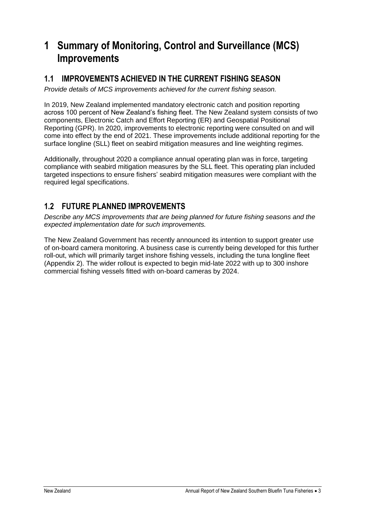# **1 Summary of Monitoring, Control and Surveillance (MCS) Improvements**

## **1.1 IMPROVEMENTS ACHIEVED IN THE CURRENT FISHING SEASON**

*Provide details of MCS improvements achieved for the current fishing season.*

In 2019, New Zealand implemented mandatory electronic catch and position reporting across 100 percent of New Zealand's fishing fleet. The New Zealand system consists of two components, Electronic Catch and Effort Reporting (ER) and Geospatial Positional Reporting (GPR). In 2020, improvements to electronic reporting were consulted on and will come into effect by the end of 2021. These improvements include additional reporting for the surface longline (SLL) fleet on seabird mitigation measures and line weighting regimes.

Additionally, throughout 2020 a compliance annual operating plan was in force, targeting compliance with seabird mitigation measures by the SLL fleet. This operating plan included targeted inspections to ensure fishers' seabird mitigation measures were compliant with the required legal specifications.

## **1.2 FUTURE PLANNED IMPROVEMENTS**

*Describe any MCS improvements that are being planned for future fishing seasons and the expected implementation date for such improvements.*

The New Zealand Government has recently announced its intention to support greater use of on-board camera monitoring. A business case is currently being developed for this further roll-out, which will primarily target inshore fishing vessels, including the tuna longline fleet (Appendix 2). The wider rollout is expected to begin mid-late 2022 with up to 300 inshore commercial fishing vessels fitted with on-board cameras by 2024.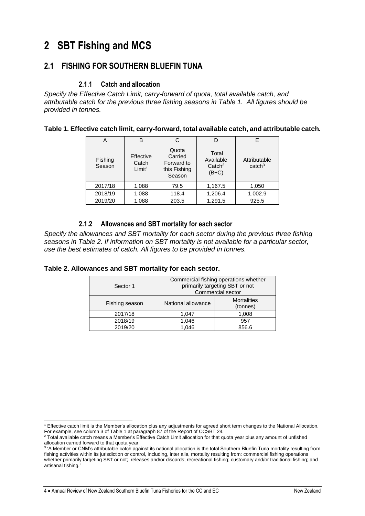# **2 SBT Fishing and MCS**

## **2.1 FISHING FOR SOUTHERN BLUEFIN TUNA**

### **2.1.1 Catch and allocation**

*Specify the Effective Catch Limit, carry-forward of quota, total available catch, and attributable catch for the previous three fishing seasons in [Table 1.](#page-3-0) All figures should be provided in tonnes.* 

<span id="page-3-0"></span>**Table 1. Effective catch limit, carry-forward, total available catch, and attributable catch.** 

| A                 | R                                        | C                                                        |                                                   | E                                  |
|-------------------|------------------------------------------|----------------------------------------------------------|---------------------------------------------------|------------------------------------|
| Fishing<br>Season | Effective<br>Catch<br>Limit <sup>1</sup> | Quota<br>Carried<br>Forward to<br>this Fishing<br>Season | Total<br>Available<br>$\text{Catch}^2$<br>$(B+C)$ | Attributable<br>catch <sup>3</sup> |
| 2017/18           | 1,088                                    | 79.5                                                     | 1,167.5                                           | 1,050                              |
| 2018/19           | 1,088                                    | 118.4                                                    | 1,206.4                                           | 1,002.9                            |
| 2019/20           | 1,088                                    | 203.5                                                    | 1,291.5                                           | 925.5                              |

### **2.1.2 Allowances and SBT mortality for each sector**

*Specify the allowances and SBT mortality for each sector during the previous three fishing seasons in [Table 2.](#page-3-1) If information on SBT mortality is not available for a particular sector, use the best estimates of catch. All figures to be provided in tonnes.*

| Sector 1       | Commercial fishing operations whether<br>primarily targeting SBT or not<br>Commercial sector |       |  |
|----------------|----------------------------------------------------------------------------------------------|-------|--|
| Fishing season | <b>Mortalities</b><br>National allowance<br>(tonnes)                                         |       |  |
| 2017/18        | 1.047                                                                                        | 1,008 |  |
| 2018/19        | 1,046                                                                                        | 957   |  |
| 2019/20        | 1.046                                                                                        | 856.6 |  |

<span id="page-3-1"></span>**Table 2. Allowances and SBT mortality for each sector.** 

<sup>1</sup> Effective catch limit is the Member's allocation plus any adjustments for agreed short term changes to the National Allocation. For example, see column 3 of Table 1 at paragraph 87 of the Report of CCSBT 24.

<sup>&</sup>lt;sup>2</sup> Total available catch means a Member's Effective Catch Limit allocation for that quota year plus any amount of unfished allocation carried forward to that quota year.<br><sup>3</sup> 'A Member or CNM's attributable catch against its national allocation is the total Southern Bluefin Tuna mortality resulting from

fishing activities within its jurisdiction or control, including, inter alia, mortality resulting from: commercial fishing operations whether primarily targeting SBT or not; releases and/or discards; recreational fishing; customary and/or traditional fishing; and artisanal fishing.'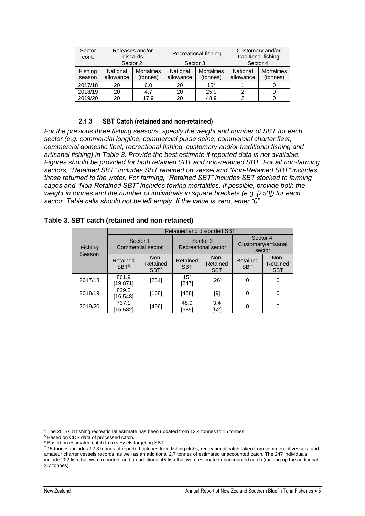| Sector<br>cont.   | Releases and/or<br>discards |                                | Recreational fishing  |                                | Customary and/or<br>traditional fishing |                                |
|-------------------|-----------------------------|--------------------------------|-----------------------|--------------------------------|-----------------------------------------|--------------------------------|
|                   | Sector 2:                   |                                | Sector 3:             |                                |                                         | Sector 4:                      |
| Fishing<br>season | National<br>allowance       | <b>Mortalities</b><br>(tonnes) | National<br>allowance | <b>Mortalities</b><br>(tonnes) | National<br>allowance                   | <b>Mortalities</b><br>(tonnes) |
| 2017/18           | 20                          | 6.0                            | 20                    | 15 <sup>4</sup>                |                                         |                                |
| 2018/19           | 20                          | 4.7                            | 20                    | 25.9                           | 2                                       |                                |
| 2019/20           | 20                          | 17.9                           | 20                    | 48.9                           | າ                                       |                                |

### **2.1.3 SBT Catch (retained and non-retained)**

*For the previous three fishing seasons, specify the weight and number of SBT for each sector (e.g. commercial longline, commercial purse seine, commercial charter fleet, commercial domestic fleet, recreational fishing, customary and/or traditional fishing and artisanal fishing) in Table 3. Provide the best estimate if reported data is not available. Figures should be provided for both retained SBT and non-retained SBT. For all non-farming sectors, "Retained SBT" includes SBT retained on vessel and "Non-Retained SBT" includes those returned to the water. For farming, "Retained SBT" includes SBT stocked to farming cages and "Non-Retained SBT" includes towing mortalities. If possible, provide both the weight in tonnes and the number of individuals in square brackets (e.g. [250]) for each sector. Table cells should not be left empty. If the value is zero, enter "0".*

|         | Retained and discarded SBT           |                                      |                                 |                                |                                            |                                |  |
|---------|--------------------------------------|--------------------------------------|---------------------------------|--------------------------------|--------------------------------------------|--------------------------------|--|
| Fishing | Sector 1<br><b>Commercial sector</b> |                                      | Sector 3<br>Recreational sector |                                | Sector 4:<br>Customary/artisanal<br>sector |                                |  |
| Season  | Retained<br>SBT <sup>5</sup>         | Non-<br>Retained<br>SBT <sup>6</sup> | Retained<br><b>SBT</b>          | Non-<br>Retained<br><b>SBT</b> | Retained<br><b>SBT</b>                     | Non-<br>Retained<br><b>SBT</b> |  |
| 2017/18 | 861.9<br>[19,871]                    | $[251]$                              | $15^{7}$<br>[247]               | $[26]$                         | 0                                          | 0                              |  |
| 2018/19 | 829.5<br>16,548                      | [168]                                | [428]                           | [9]                            |                                            | 0                              |  |
| 2019/20 | 737.1<br>15,582                      | $[496]$                              | 48.9<br>[685]                   | 3.4<br>[52]                    |                                            | 0                              |  |

#### **Table 3. SBT catch (retained and non-retained)**

<sup>4</sup> The 2017/18 fishing recreational estimate has been updated from 12.4 tonnes to 15 tonnes.

<sup>5</sup> Based on CDS data of processed catch.

<sup>&</sup>lt;sup>6</sup> Based on estimated catch from vessels targeting SBT.

<sup>7</sup> 15 tonnes includes 12.3 tonnes of reported catches from fishing clubs, recreational catch taken from commercial vessels, and amateur charter vessels records, as well as an additional 2.7 tonnes of estimated unaccounted catch. The 247 individuals include 202 fish that were reported, and an additional 45 fish that were estimated unaccounted catch (making up the additional 2.7 tonnes).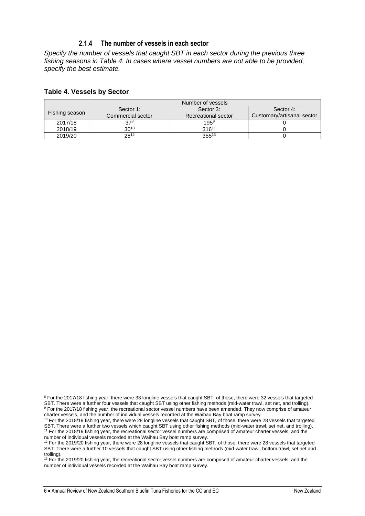### **2.1.4 The number of vessels in each sector**

*Specify the number of vessels that caught SBT in each sector during the previous three fishing seasons in Table 4. In cases where vessel numbers are not able to be provided, specify the best estimate.* 

#### **Table 4. Vessels by Sector**

|                | Number of vessels |                     |                            |  |
|----------------|-------------------|---------------------|----------------------------|--|
|                | Sector 1:         | Sector 3:           | Sector 4:                  |  |
| Fishing season | Commercial sector | Recreational sector | Customary/artisanal sector |  |
| 2017/18        | 378               | $195^{9}$           |                            |  |
| 2018/19        | $30^{10}$         | $316^{11}$          |                            |  |
| 2019/20        | 2812              | $355^{13}$          |                            |  |

<sup>&</sup>lt;sup>8</sup> For the 2017/18 fishing year, there were 33 longline vessels that caught SBT, of those, there were 32 vessels that targeted SBT. There were a further four vessels that caught SBT using other fishing methods (mid-water trawl, set net, and trolling). <sup>9</sup> For the 2017/18 fishing year, the recreational sector vessel numbers have been amended. They now comprise of amateur charter vessels, and the number of individual vessels recorded at the Waihau Bay boat ramp survey.

<sup>10</sup> For the 2018/19 fishing year, there were 28 longline vessels that caught SBT, of those, there were 28 vessels that targeted SBT. There were a further two vessels which caught SBT using other fishing methods (mid-water trawl, set net, and trolling). <sup>11</sup> For the 2018/19 fishing year, the recreational sector vessel numbers are comprised of amateur charter vessels, and the number of individual vessels recorded at the Waihau Bay boat ramp survey.

 $12$  For the 2019/20 fishing year, there were 28 longline vessels that caught SBT, of those, there were 28 vessels that targeted SBT. There were a further 10 vessels that caught SBT using other fishing methods (mid-water trawl, bottom trawl, set net and trolling).

<sup>&</sup>lt;sup>13</sup> For the 2019/20 fishing year, the recreational sector vessel numbers are comprised of amateur charter vessels, and the number of individual vessels recorded at the Waihau Bay boat ramp survey.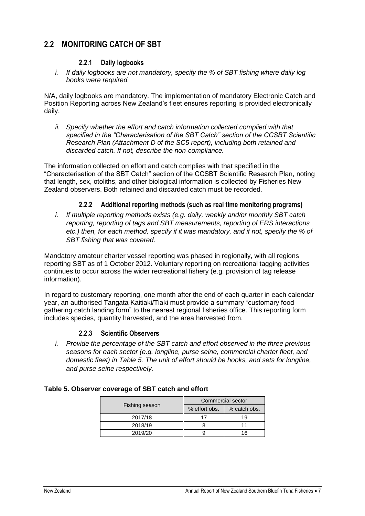## **2.2 MONITORING CATCH OF SBT**

### **2.2.1 Daily logbooks**

*i. If daily logbooks are not mandatory, specify the % of SBT fishing where daily log books were required.* 

N/A, daily logbooks are mandatory. The implementation of mandatory Electronic Catch and Position Reporting across New Zealand's fleet ensures reporting is provided electronically daily.

*ii. Specify whether the effort and catch information collected complied with that specified in the "Characterisation of the SBT Catch" section of the CCSBT Scientific Research Plan (Attachment D of the SC5 report), including both retained and discarded catch. If not, describe the non-compliance.*

The information collected on effort and catch complies with that specified in the "Characterisation of the SBT Catch" section of the CCSBT Scientific Research Plan, noting that length, sex, otoliths, and other biological information is collected by Fisheries New Zealand observers. Both retained and discarded catch must be recorded.

### **2.2.2 Additional reporting methods (such as real time monitoring programs)**

*i. If multiple reporting methods exists (e.g. daily, weekly and/or monthly SBT catch reporting, reporting of tags and SBT measurements, reporting of ERS interactions etc.) then, for each method, specify if it was mandatory, and if not, specify the % of SBT fishing that was covered.*

Mandatory amateur charter vessel reporting was phased in regionally, with all regions reporting SBT as of 1 October 2012. Voluntary reporting on recreational tagging activities continues to occur across the wider recreational fishery (e.g. provision of tag release information).

In regard to customary reporting, one month after the end of each quarter in each calendar year, an authorised Tangata Kaitiaki/Tiaki must provide a summary "customary food gathering catch landing form" to the nearest regional fisheries office. This reporting form includes species, quantity harvested, and the area harvested from.

### **2.2.3 Scientific Observers**

*i. Provide the percentage of the SBT catch and effort observed in the three previous seasons for each sector (e.g. longline, purse seine, commercial charter fleet, and domestic fleet) in [Table 5.](#page-6-0) The unit of effort should be hooks, and sets for longline, and purse seine respectively.* 

#### <span id="page-6-0"></span>**Table 5. Observer coverage of SBT catch and effort**

|                | Commercial sector |              |  |
|----------------|-------------------|--------------|--|
| Fishing season | % effort obs.     | % catch obs. |  |
| 2017/18        |                   | 19           |  |
| 2018/19        |                   |              |  |
| 2019/20        |                   | 16           |  |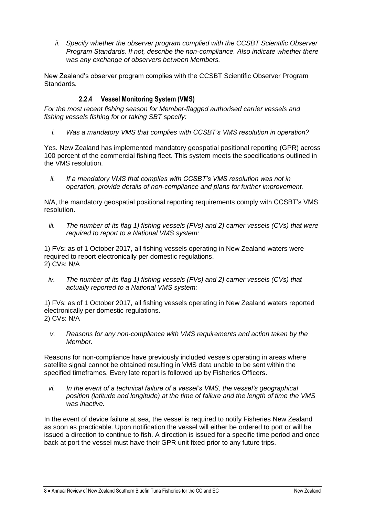*ii. Specify whether the observer program complied with the CCSBT Scientific Observer Program Standards. If not, describe the non-compliance. Also indicate whether there was any exchange of observers between Members.* 

New Zealand's observer program complies with the CCSBT Scientific Observer Program Standards.

## **2.2.4 Vessel Monitoring System (VMS)**

*For the most recent fishing season for Member-flagged authorised carrier vessels and fishing vessels fishing for or taking SBT specify:* 

*i. Was a mandatory VMS that complies with CCSBT's VMS resolution in operation?*

Yes. New Zealand has implemented mandatory geospatial positional reporting (GPR) across 100 percent of the commercial fishing fleet. This system meets the specifications outlined in the VMS resolution.

*ii. If a mandatory VMS that complies with CCSBT's VMS resolution was not in operation, provide details of non-compliance and plans for further improvement.* 

N/A, the mandatory geospatial positional reporting requirements comply with CCSBT's VMS resolution.

*iii. The number of its flag 1) fishing vessels (FVs) and 2) carrier vessels (CVs) that were required to report to a National VMS system:*

1) FVs: as of 1 October 2017, all fishing vessels operating in New Zealand waters were required to report electronically per domestic regulations. 2) CVs: N/A

*iv. The number of its flag 1) fishing vessels (FVs) and 2) carrier vessels (CVs) that actually reported to a National VMS system:*

1) FVs: as of 1 October 2017, all fishing vessels operating in New Zealand waters reported electronically per domestic regulations. 2) CVs: N/A

*v. Reasons for any non-compliance with VMS requirements and action taken by the Member.*

Reasons for non-compliance have previously included vessels operating in areas where satellite signal cannot be obtained resulting in VMS data unable to be sent within the specified timeframes. Every late report is followed up by Fisheries Officers.

*vi. In the event of a technical failure of a vessel's VMS, the vessel's geographical position (latitude and longitude) at the time of failure and the length of time the VMS was inactive.*

In the event of device failure at sea, the vessel is required to notify Fisheries New Zealand as soon as practicable. Upon notification the vessel will either be ordered to port or will be issued a direction to continue to fish. A direction is issued for a specific time period and once back at port the vessel must have their GPR unit fixed prior to any future trips.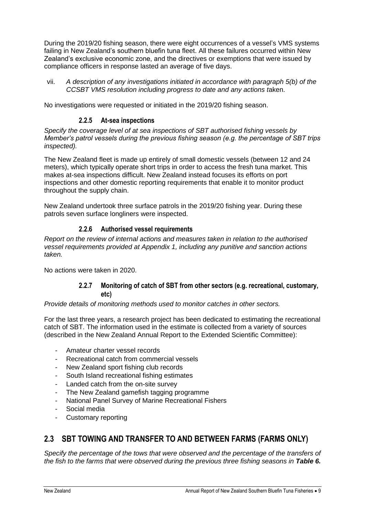During the 2019/20 fishing season, there were eight occurrences of a vessel's VMS systems failing in New Zealand's southern bluefin tuna fleet. All these failures occurred within New Zealand's exclusive economic zone, and the directives or exemptions that were issued by compliance officers in response lasted an average of five days.

vii. *A description of any investigations initiated in accordance with paragraph 5(b) of the CCSBT VMS resolution including progress to date and any actions t*aken.

No investigations were requested or initiated in the 2019/20 fishing season.

### **2.2.5 At-sea inspections**

*Specify the coverage level of at sea inspections of SBT authorised fishing vessels by Member's patrol vessels during the previous fishing season (e.g. the percentage of SBT trips inspected).*

The New Zealand fleet is made up entirely of small domestic vessels (between 12 and 24 meters), which typically operate short trips in order to access the fresh tuna market. This makes at-sea inspections difficult. New Zealand instead focuses its efforts on port inspections and other domestic reporting requirements that enable it to monitor product throughout the supply chain.

New Zealand undertook three surface patrols in the 2019/20 fishing year. During these patrols seven surface longliners were inspected.

### **2.2.6 Authorised vessel requirements**

*Report on the review of internal actions and measures taken in relation to the authorised vessel requirements provided at Appendix 1, including any punitive and sanction actions taken.*

No actions were taken in 2020.

### **2.2.7 Monitoring of catch of SBT from other sectors (e.g. recreational, customary, etc)**

*Provide details of monitoring methods used to monitor catches in other sectors.* 

For the last three years, a research project has been dedicated to estimating the recreational catch of SBT. The information used in the estimate is collected from a variety of sources (described in the New Zealand Annual Report to the Extended Scientific Committee):

- Amateur charter vessel records
- Recreational catch from commercial vessels
- New Zealand sport fishing club records
- South Island recreational fishing estimates
- Landed catch from the on-site survey
- The New Zealand gamefish tagging programme
- National Panel Survey of Marine Recreational Fishers
- Social media
- Customary reporting

## **2.3 SBT TOWING AND TRANSFER TO AND BETWEEN FARMS (FARMS ONLY)**

*Specify the percentage of the tows that were observed and the percentage of the transfers of the fish to the farms that were observed during the previous three fishing seasons in Table 6.*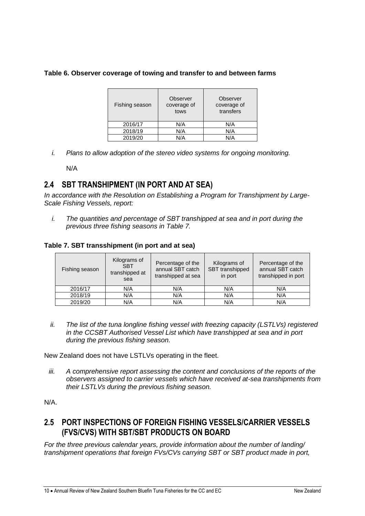#### **Table 6. Observer coverage of towing and transfer to and between farms**

| Fishing season | Observer<br>coverage of<br>tows | Observer<br>coverage of<br>transfers |
|----------------|---------------------------------|--------------------------------------|
| 2016/17        | N/A                             | N/A                                  |
| 2018/19        | N/A                             | N/A                                  |
| 2019/20        | N/A                             | N/A                                  |

*i. Plans to allow adoption of the stereo video systems for ongoing monitoring.*

N/A

## **2.4 SBT TRANSHIPMENT (IN PORT AND AT SEA)**

*In accordance with the Resolution on Establishing a Program for Transhipment by Large-Scale Fishing Vessels, report:*

*i. The quantities and percentage of SBT transhipped at sea and in port during the previous three fishing seasons in [Table 7.](#page-9-0)*

### <span id="page-9-0"></span>**Table 7. SBT transshipment (in port and at sea)**

| Fishing season | Kilograms of<br><b>SBT</b><br>transhipped at<br>sea | Percentage of the<br>annual SBT catch<br>transhipped at sea | Kilograms of<br>SBT transhipped<br>in port | Percentage of the<br>annual SBT catch<br>transhipped in port |
|----------------|-----------------------------------------------------|-------------------------------------------------------------|--------------------------------------------|--------------------------------------------------------------|
| 2016/17        | N/A                                                 | N/A                                                         | N/A                                        | N/A                                                          |
| 2018/19        | N/A                                                 | N/A                                                         | N/A                                        | N/A                                                          |
| 2019/20        | N/A                                                 | N/A                                                         | N/A                                        | N/A                                                          |

*ii. The list of the tuna longline fishing vessel with freezing capacity (LSTLVs) registered in the CCSBT Authorised Vessel List which have transhipped at sea and in port during the previous fishing season.*

New Zealand does not have LSTLVs operating in the fleet.

*iii. A comprehensive report assessing the content and conclusions of the reports of the observers assigned to carrier vessels which have received at-sea transhipments from their LSTLVs during the previous fishing season.*

N/A.

## **2.5 PORT INSPECTIONS OF FOREIGN FISHING VESSELS/CARRIER VESSELS (FVS/CVS) WITH SBT/SBT PRODUCTS ON BOARD**

*For the three previous calendar years, provide information about the number of landing/ transhipment operations that foreign FVs/CVs carrying SBT or SBT product made in port,*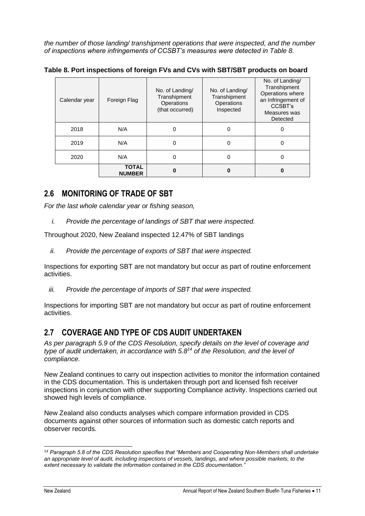*the number of those landing/ transhipment operations that were inspected, and the number of inspections where infringements of CCSBT's measures were detected in [Table 8.](#page-10-0)*

| Calendar year | Foreign Flag                  | No. of Landing/<br>Transhipment<br>Operations<br>(that occurred) | No. of Landing/<br>Transhipment<br>Operations<br>Inspected | No. of Landing/<br>Transhipment<br>Operations where<br>an Infringement of<br>CCSBT's<br>Measures was<br>Detected |
|---------------|-------------------------------|------------------------------------------------------------------|------------------------------------------------------------|------------------------------------------------------------------------------------------------------------------|
| 2018          | N/A                           | 0                                                                | 0                                                          | 0                                                                                                                |
| 2019          | N/A                           | 0                                                                | 0                                                          | 0                                                                                                                |
| 2020          | N/A                           | 0                                                                | 0                                                          | 0                                                                                                                |
|               | <b>TOTAL</b><br><b>NUMBER</b> | 0                                                                | Ω                                                          | 0                                                                                                                |

<span id="page-10-0"></span>**Table 8. Port inspections of foreign FVs and CVs with SBT/SBT products on board**

## **2.6 MONITORING OF TRADE OF SBT**

*For the last whole calendar year or fishing season,* 

*i. Provide the percentage of landings of SBT that were inspected.*

Throughout 2020, New Zealand inspected 12.47% of SBT landings

*ii. Provide the percentage of exports of SBT that were inspected.* 

Inspections for exporting SBT are not mandatory but occur as part of routine enforcement activities.

*iii. Provide the percentage of imports of SBT that were inspected.*

Inspections for importing SBT are not mandatory but occur as part of routine enforcement activities.

## **2.7 COVERAGE AND TYPE OF CDS AUDIT UNDERTAKEN**

*As per paragraph 5.9 of the CDS Resolution, specify details on the level of coverage and type of audit undertaken, in accordance with 5.8<sup>14</sup> of the Resolution, and the level of compliance.*

New Zealand continues to carry out inspection activities to monitor the information contained in the CDS documentation. This is undertaken through port and licensed fish receiver inspections in conjunction with other supporting Compliance activity. Inspections carried out showed high levels of compliance.

New Zealand also conducts analyses which compare information provided in CDS documents against other sources of information such as domestic catch reports and observer records.

<sup>14</sup> *Paragraph 5.8 of the CDS Resolution specifies that "Members and Cooperating Non-Members shall undertake an appropriate level of audit, including inspections of vessels, landings, and where possible markets, to the extent necessary to validate the information contained in the CDS documentation."*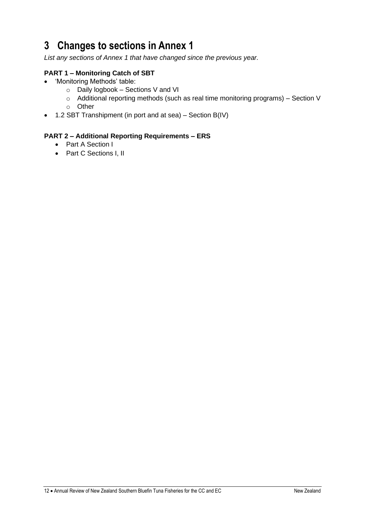# **3 Changes to sections in Annex 1**

*List any sections of Annex 1 that have changed since the previous year.*

## **PART 1 – Monitoring Catch of SBT**

- 'Monitoring Methods' table:
	- o Daily logbook Sections V and VI
	- o Additional reporting methods (such as real time monitoring programs) Section V
	- o Other
- 1.2 SBT Transhipment (in port and at sea) Section B(IV)

### **PART 2 – Additional Reporting Requirements – ERS**

- Part A Section I
- Part C Sections I, II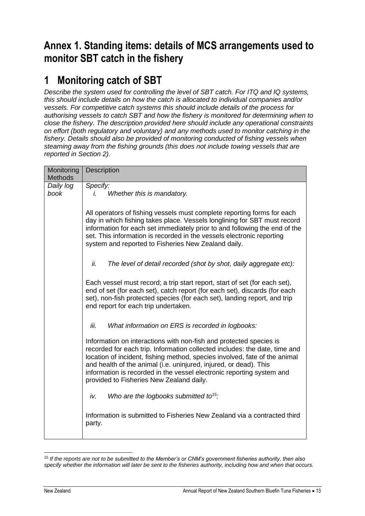# **Annex 1. Standing items: details of MCS arrangements used to monitor SBT catch in the fishery**

# **1 Monitoring catch of SBT**

*Describe the system used for controlling the level of SBT catch. For ITQ and IQ systems, this should include details on how the catch is allocated to individual companies and/or vessels. For competitive catch systems this should include details of the process for authorising vessels to catch SBT and how the fishery is monitored for determining when to close the fishery. The description provided here should include any operational constraints on effort (both regulatory and voluntary) and any methods used to monitor catching in the fishery. Details should also be provided of monitoring conducted of fishing vessels when steaming away from the fishing grounds (this does not include towing vessels that are reported in Section 2).*

| Monitoring<br><b>Methods</b> | <b>Description</b>                                                                                                                                                                                                                                                                                                                                                                                                       |
|------------------------------|--------------------------------------------------------------------------------------------------------------------------------------------------------------------------------------------------------------------------------------------------------------------------------------------------------------------------------------------------------------------------------------------------------------------------|
| Daily log<br>book            | Specify:<br>Whether this is mandatory.<br>İ.                                                                                                                                                                                                                                                                                                                                                                             |
|                              | All operators of fishing vessels must complete reporting forms for each<br>day in which fishing takes place. Vessels longlining for SBT must record<br>information for each set immediately prior to and following the end of the<br>set. This information is recorded in the vessels electronic reporting<br>system and reported to Fisheries New Zealand daily.                                                        |
|                              | ii.<br>The level of detail recorded (shot by shot, daily aggregate etc):                                                                                                                                                                                                                                                                                                                                                 |
|                              | Each vessel must record; a trip start report, start of set (for each set),<br>end of set (for each set), catch report (for each set), discards (for each<br>set), non-fish protected species (for each set), landing report, and trip<br>end report for each trip undertaken.                                                                                                                                            |
|                              | iii.<br>What information on ERS is recorded in logbooks:                                                                                                                                                                                                                                                                                                                                                                 |
|                              | Information on interactions with non-fish and protected species is<br>recorded for each trip. Information collected includes: the date, time and<br>location of incident, fishing method, species involved, fate of the animal<br>and health of the animal (i.e. uninjured, injured, or dead). This<br>information is recorded in the vessel electronic reporting system and<br>provided to Fisheries New Zealand daily. |
|                              | iv.<br>Who are the logbooks submitted to <sup>15</sup> :                                                                                                                                                                                                                                                                                                                                                                 |
|                              | Information is submitted to Fisheries New Zealand via a contracted third<br>party.                                                                                                                                                                                                                                                                                                                                       |

<sup>15</sup> *If the reports are not to be submitted to the Member's or CNM's government fisheries authority, then also specify whether the information will later be sent to the fisheries authority, including how and when that occurs.*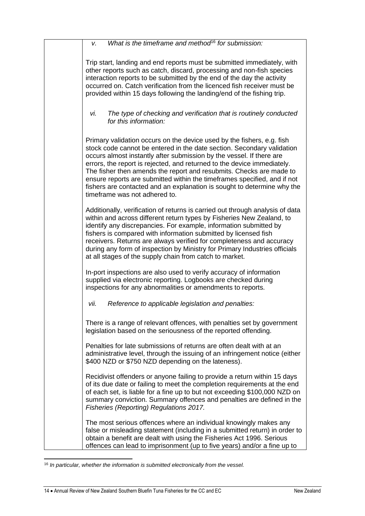| What is the timeframe and method <sup>16</sup> for submission:<br>V.                                                                                                                                                                                                                                                                                                                                                                                                                                                                                               |
|--------------------------------------------------------------------------------------------------------------------------------------------------------------------------------------------------------------------------------------------------------------------------------------------------------------------------------------------------------------------------------------------------------------------------------------------------------------------------------------------------------------------------------------------------------------------|
| Trip start, landing and end reports must be submitted immediately, with<br>other reports such as catch, discard, processing and non-fish species<br>interaction reports to be submitted by the end of the day the activity<br>occurred on. Catch verification from the licenced fish receiver must be<br>provided within 15 days following the landing/end of the fishing trip.                                                                                                                                                                                    |
| The type of checking and verification that is routinely conducted<br>vi.<br>for this information:                                                                                                                                                                                                                                                                                                                                                                                                                                                                  |
| Primary validation occurs on the device used by the fishers, e.g. fish<br>stock code cannot be entered in the date section. Secondary validation<br>occurs almost instantly after submission by the vessel. If there are<br>errors, the report is rejected, and returned to the device immediately.<br>The fisher then amends the report and resubmits. Checks are made to<br>ensure reports are submitted within the timeframes specified, and if not<br>fishers are contacted and an explanation is sought to determine why the<br>timeframe was not adhered to. |
| Additionally, verification of returns is carried out through analysis of data<br>within and across different return types by Fisheries New Zealand, to<br>identify any discrepancies. For example, information submitted by<br>fishers is compared with information submitted by licensed fish<br>receivers. Returns are always verified for completeness and accuracy<br>during any form of inspection by Ministry for Primary Industries officials<br>at all stages of the supply chain from catch to market.                                                    |
| In-port inspections are also used to verify accuracy of information<br>supplied via electronic reporting. Logbooks are checked during<br>inspections for any abnormalities or amendments to reports.                                                                                                                                                                                                                                                                                                                                                               |
| Reference to applicable legislation and penalties:<br>vii.                                                                                                                                                                                                                                                                                                                                                                                                                                                                                                         |
| There is a range of relevant offences, with penalties set by government<br>legislation based on the seriousness of the reported offending.                                                                                                                                                                                                                                                                                                                                                                                                                         |
| Penalties for late submissions of returns are often dealt with at an<br>administrative level, through the issuing of an infringement notice (either<br>\$400 NZD or \$750 NZD depending on the lateness).                                                                                                                                                                                                                                                                                                                                                          |
| Recidivist offenders or anyone failing to provide a return within 15 days<br>of its due date or failing to meet the completion requirements at the end<br>of each set, is liable for a fine up to but not exceeding \$100,000 NZD on<br>summary conviction. Summary offences and penalties are defined in the<br>Fisheries (Reporting) Regulations 2017.                                                                                                                                                                                                           |
| The most serious offences where an individual knowingly makes any<br>false or misleading statement (including in a submitted return) in order to<br>obtain a benefit are dealt with using the Fisheries Act 1996. Serious<br>offences can lead to imprisonment (up to five years) and/or a fine up to                                                                                                                                                                                                                                                              |

<sup>16</sup> *In particular, whether the information is submitted electronically from the vessel.*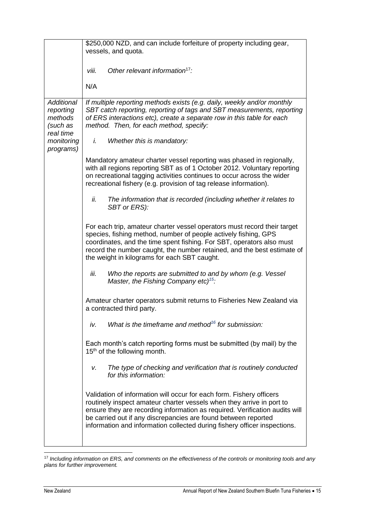|                                                                                               | \$250,000 NZD, and can include forfeiture of property including gear,<br>vessels, and quota.                                                                                                                                                                                                                                                                                |  |
|-----------------------------------------------------------------------------------------------|-----------------------------------------------------------------------------------------------------------------------------------------------------------------------------------------------------------------------------------------------------------------------------------------------------------------------------------------------------------------------------|--|
|                                                                                               | Other relevant information <sup>17</sup> :<br>viii.                                                                                                                                                                                                                                                                                                                         |  |
|                                                                                               | N/A                                                                                                                                                                                                                                                                                                                                                                         |  |
| <b>Additional</b><br>reporting<br>methods<br>(such as<br>real time<br>monitoring<br>programs) | If multiple reporting methods exists (e.g. daily, weekly and/or monthly<br>SBT catch reporting, reporting of tags and SBT measurements, reporting<br>of ERS interactions etc), create a separate row in this table for each<br>method. Then, for each method, specify:                                                                                                      |  |
|                                                                                               | i.<br>Whether this is mandatory:                                                                                                                                                                                                                                                                                                                                            |  |
|                                                                                               | Mandatory amateur charter vessel reporting was phased in regionally,<br>with all regions reporting SBT as of 1 October 2012. Voluntary reporting<br>on recreational tagging activities continues to occur across the wider<br>recreational fishery (e.g. provision of tag release information).                                                                             |  |
|                                                                                               | The information that is recorded (including whether it relates to<br>ii.<br>SBT or ERS):                                                                                                                                                                                                                                                                                    |  |
|                                                                                               | For each trip, amateur charter vessel operators must record their target<br>species, fishing method, number of people actively fishing, GPS<br>coordinates, and the time spent fishing. For SBT, operators also must<br>record the number caught, the number retained, and the best estimate of<br>the weight in kilograms for each SBT caught.                             |  |
|                                                                                               | Who the reports are submitted to and by whom (e.g. Vessel<br>iii.<br>Master, the Fishing Company etc) <sup>15</sup> :                                                                                                                                                                                                                                                       |  |
|                                                                                               | Amateur charter operators submit returns to Fisheries New Zealand via<br>a contracted third party.                                                                                                                                                                                                                                                                          |  |
|                                                                                               | What is the timeframe and method <sup>16</sup> for submission:<br>iv.                                                                                                                                                                                                                                                                                                       |  |
|                                                                                               | Each month's catch reporting forms must be submitted (by mail) by the<br>15 <sup>th</sup> of the following month.                                                                                                                                                                                                                                                           |  |
|                                                                                               | The type of checking and verification that is routinely conducted<br>v.<br>for this information:                                                                                                                                                                                                                                                                            |  |
|                                                                                               | Validation of information will occur for each form. Fishery officers<br>routinely inspect amateur charter vessels when they arrive in port to<br>ensure they are recording information as required. Verification audits will<br>be carried out if any discrepancies are found between reported<br>information and information collected during fishery officer inspections. |  |

<sup>17</sup> *Including information on ERS, and comments on the effectiveness of the controls or monitoring tools and any plans for further improvement.*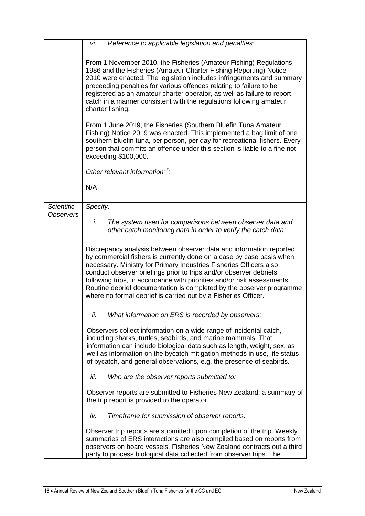|                                       | vi.<br>Reference to applicable legislation and penalties:                                                                                                                                                                                                                                                                                                                                                                                                                                                    |
|---------------------------------------|--------------------------------------------------------------------------------------------------------------------------------------------------------------------------------------------------------------------------------------------------------------------------------------------------------------------------------------------------------------------------------------------------------------------------------------------------------------------------------------------------------------|
|                                       | From 1 November 2010, the Fisheries (Amateur Fishing) Regulations<br>1986 and the Fisheries (Amateur Charter Fishing Reporting) Notice<br>2010 were enacted. The legislation includes infringements and summary<br>proceeding penalties for various offences relating to failure to be<br>registered as an amateur charter operator, as well as failure to report<br>catch in a manner consistent with the regulations following amateur<br>charter fishing.                                                 |
|                                       | From 1 June 2019, the Fisheries (Southern Bluefin Tuna Amateur<br>Fishing) Notice 2019 was enacted. This implemented a bag limit of one<br>southern bluefin tuna, per person, per day for recreational fishers. Every<br>person that commits an offence under this section is liable to a fine not<br>exceeding \$100,000.                                                                                                                                                                                   |
|                                       | Other relevant information <sup>17</sup> :                                                                                                                                                                                                                                                                                                                                                                                                                                                                   |
|                                       | N/A                                                                                                                                                                                                                                                                                                                                                                                                                                                                                                          |
| <b>Scientific</b><br><b>Observers</b> | Specify:                                                                                                                                                                                                                                                                                                                                                                                                                                                                                                     |
|                                       | i.<br>The system used for comparisons between observer data and<br>other catch monitoring data in order to verify the catch data:                                                                                                                                                                                                                                                                                                                                                                            |
|                                       | Discrepancy analysis between observer data and information reported<br>by commercial fishers is currently done on a case by case basis when<br>necessary. Ministry for Primary Industries Fisheries Officers also<br>conduct observer briefings prior to trips and/or observer debriefs<br>following trips, in accordance with priorities and/or risk assessments.<br>Routine debrief documentation is completed by the observer programme<br>where no formal debrief is carried out by a Fisheries Officer. |
|                                       | What information on ERS is recorded by observers:<br>ii.                                                                                                                                                                                                                                                                                                                                                                                                                                                     |
|                                       | Observers collect information on a wide range of incidental catch,<br>including sharks, turtles, seabirds, and marine mammals. That<br>information can include biological data such as length, weight, sex, as<br>well as information on the bycatch mitigation methods in use, life status<br>of bycatch, and general observations, e.g. the presence of seabirds.                                                                                                                                          |
|                                       | Who are the observer reports submitted to:<br>iii.                                                                                                                                                                                                                                                                                                                                                                                                                                                           |
|                                       | Observer reports are submitted to Fisheries New Zealand; a summary of<br>the trip report is provided to the operator.                                                                                                                                                                                                                                                                                                                                                                                        |
|                                       | Timeframe for submission of observer reports:<br>iv.                                                                                                                                                                                                                                                                                                                                                                                                                                                         |
|                                       | Observer trip reports are submitted upon completion of the trip. Weekly<br>summaries of ERS interactions are also compiled based on reports from<br>observers on board vessels. Fisheries New Zealand contracts out a third<br>party to process biological data collected from observer trips. The                                                                                                                                                                                                           |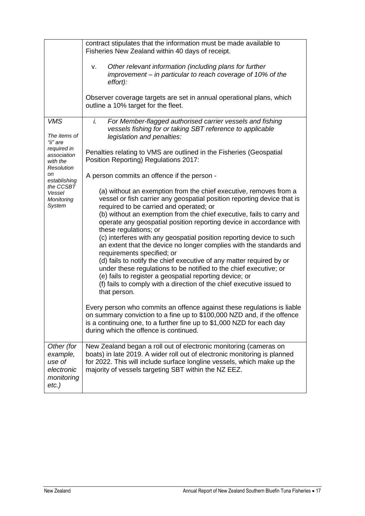|                                                                                                                                                                            | contract stipulates that the information must be made available to<br>Fisheries New Zealand within 40 days of receipt.                                                                                                                                                                                                                                                                                                                                                                                                                                                                                                                                                                                                                                                                                                                         |
|----------------------------------------------------------------------------------------------------------------------------------------------------------------------------|------------------------------------------------------------------------------------------------------------------------------------------------------------------------------------------------------------------------------------------------------------------------------------------------------------------------------------------------------------------------------------------------------------------------------------------------------------------------------------------------------------------------------------------------------------------------------------------------------------------------------------------------------------------------------------------------------------------------------------------------------------------------------------------------------------------------------------------------|
|                                                                                                                                                                            | Other relevant information (including plans for further<br>v.<br>improvement – in particular to reach coverage of 10% of the<br>effort):                                                                                                                                                                                                                                                                                                                                                                                                                                                                                                                                                                                                                                                                                                       |
|                                                                                                                                                                            | Observer coverage targets are set in annual operational plans, which<br>outline a 10% target for the fleet.                                                                                                                                                                                                                                                                                                                                                                                                                                                                                                                                                                                                                                                                                                                                    |
| <b>VMS</b><br>The items of<br>"ii" are<br>required in<br>association<br>with the<br><b>Resolution</b><br>on<br>establishing<br>the CCSBT<br>Vessel<br>Monitoring<br>System | i.<br>For Member-flagged authorised carrier vessels and fishing<br>vessels fishing for or taking SBT reference to applicable<br>legislation and penalties:                                                                                                                                                                                                                                                                                                                                                                                                                                                                                                                                                                                                                                                                                     |
|                                                                                                                                                                            | Penalties relating to VMS are outlined in the Fisheries (Geospatial<br>Position Reporting) Regulations 2017:                                                                                                                                                                                                                                                                                                                                                                                                                                                                                                                                                                                                                                                                                                                                   |
|                                                                                                                                                                            | A person commits an offence if the person -                                                                                                                                                                                                                                                                                                                                                                                                                                                                                                                                                                                                                                                                                                                                                                                                    |
|                                                                                                                                                                            | (a) without an exemption from the chief executive, removes from a<br>vessel or fish carrier any geospatial position reporting device that is<br>required to be carried and operated; or<br>(b) without an exemption from the chief executive, fails to carry and<br>operate any geospatial position reporting device in accordance with<br>these regulations; or<br>(c) interferes with any geospatial position reporting device to such<br>an extent that the device no longer complies with the standards and<br>requirements specified; or<br>(d) fails to notify the chief executive of any matter required by or<br>under these regulations to be notified to the chief executive; or<br>(e) fails to register a geospatial reporting device; or<br>(f) fails to comply with a direction of the chief executive issued to<br>that person. |
|                                                                                                                                                                            | Every person who commits an offence against these regulations is liable<br>on summary conviction to a fine up to \$100,000 NZD and, if the offence<br>is a continuing one, to a further fine up to \$1,000 NZD for each day<br>during which the offence is continued.                                                                                                                                                                                                                                                                                                                                                                                                                                                                                                                                                                          |
| Other (for<br>example,<br>use of<br>electronic<br>monitoring<br>$etc.$ )                                                                                                   | New Zealand began a roll out of electronic monitoring (cameras on<br>boats) in late 2019. A wider roll out of electronic monitoring is planned<br>for 2022. This will include surface longline vessels, which make up the<br>majority of vessels targeting SBT within the NZ EEZ.                                                                                                                                                                                                                                                                                                                                                                                                                                                                                                                                                              |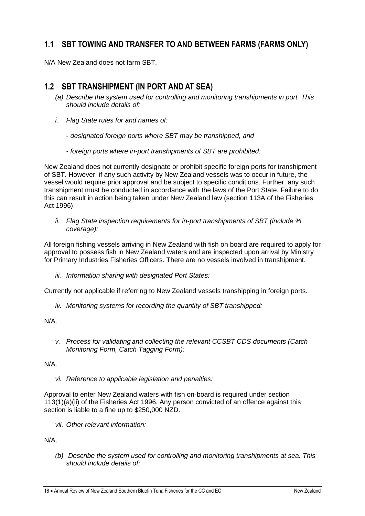## **1.1 SBT TOWING AND TRANSFER TO AND BETWEEN FARMS (FARMS ONLY)**

N/A New Zealand does not farm SBT.

## **1.2 SBT TRANSHIPMENT (IN PORT AND AT SEA)**

- *(a) Describe the system used for controlling and monitoring transhipments in port. This should include details of:*
- *i. Flag State rules for and names of:*
	- *- designated foreign ports where SBT may be transhipped, and*
	- *- foreign ports where in-port transhipments of SBT are prohibited:*

New Zealand does not currently designate or prohibit specific foreign ports for transhipment of SBT. However, if any such activity by New Zealand vessels was to occur in future, the vessel would require prior approval and be subject to specific conditions. Further, any such transhipment must be conducted in accordance with the laws of the Port State. Failure to do this can result in action being taken under New Zealand law (section 113A of the Fisheries Act 1996).

*ii. Flag State inspection requirements for in-port transhipments of SBT (include % coverage):*

All foreign fishing vessels arriving in New Zealand with fish on board are required to apply for approval to possess fish in New Zealand waters and are inspected upon arrival by Ministry for Primary Industries Fisheries Officers. There are no vessels involved in transhipment.

*iii. Information sharing with designated Port States:*

Currently not applicable if referring to New Zealand vessels transhipping in foreign ports.

*iv. Monitoring systems for recording the quantity of SBT transhipped:*

N/A.

*v. Process for validating and collecting the relevant CCSBT CDS documents (Catch Monitoring Form, Catch Tagging Form):*

N/A.

*vi. Reference to applicable legislation and penalties:*

Approval to enter New Zealand waters with fish on-board is required under section 113(1)(a)(ii) of the Fisheries Act 1996. Any person convicted of an offence against this section is liable to a fine up to \$250,000 NZD.

*vii. Other relevant information:*

N/A.

*(b) Describe the system used for controlling and monitoring transhipments at sea. This should include details of:*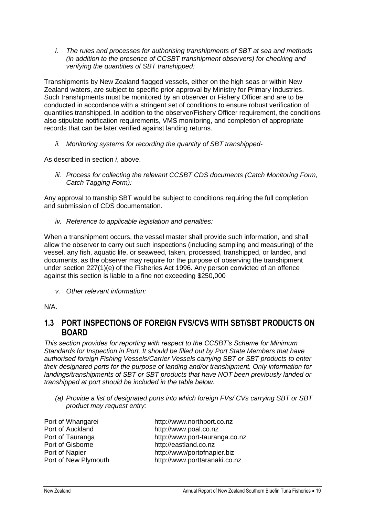*i. The rules and processes for authorising transhipments of SBT at sea and methods (in addition to the presence of CCSBT transhipment observers) for checking and verifying the quantities of SBT transhipped:*

Transhipments by New Zealand flagged vessels, either on the high seas or within New Zealand waters, are subject to specific prior approval by Ministry for Primary Industries. Such transhipments must be monitored by an observer or Fishery Officer and are to be conducted in accordance with a stringent set of conditions to ensure robust verification of quantities transhipped. In addition to the observer/Fishery Officer requirement, the conditions also stipulate notification requirements, VMS monitoring, and completion of appropriate records that can be later verified against landing returns.

*ii. Monitoring systems for recording the quantity of SBT transhipped-*

As described in section *i*, above.

*iii. Process for collecting the relevant CCSBT CDS documents (Catch Monitoring Form, Catch Tagging Form):*

Any approval to tranship SBT would be subject to conditions requiring the full completion and submission of CDS documentation.

*iv. Reference to applicable legislation and penalties:*

When a transhipment occurs, the vessel master shall provide such information, and shall allow the observer to carry out such inspections (including sampling and measuring) of the vessel, any fish, aquatic life, or seaweed, taken, processed, transhipped, or landed, and documents, as the observer may require for the purpose of observing the transhipment under section 227(1)(e) of the Fisheries Act 1996. Any person convicted of an offence against this section is liable to a fine not exceeding \$250,000

*v. Other relevant information:*

N/A.

## **1.3 PORT INSPECTIONS OF FOREIGN FVS/CVS WITH SBT/SBT PRODUCTS ON BOARD**

*This section provides for reporting with respect to the CCSBT's Scheme for Minimum Standards for Inspection in Port. It should be filled out by Port State Members that have authorised foreign Fishing Vessels/Carrier Vessels carrying SBT or SBT products to enter their designated ports for the purpose of landing and/or transhipment. Only information for landings/transhipments of SBT or SBT products that have NOT been previously landed or transhipped at port should be included in the table below.*

*(a) Provide a list of designated ports into which foreign FVs/ CVs carrying SBT or SBT product may request entry:*

| Port of Whangarei    | http://www.northport.co.nz     |
|----------------------|--------------------------------|
| Port of Auckland     | http://www.poal.co.nz          |
| Port of Tauranga     | http://www.port-tauranga.co.nz |
| Port of Gisborne     | http://eastland.co.nz          |
| Port of Napier       | http://www/portofnapier.biz    |
| Port of New Plymouth | http://www.porttaranaki.co.nz  |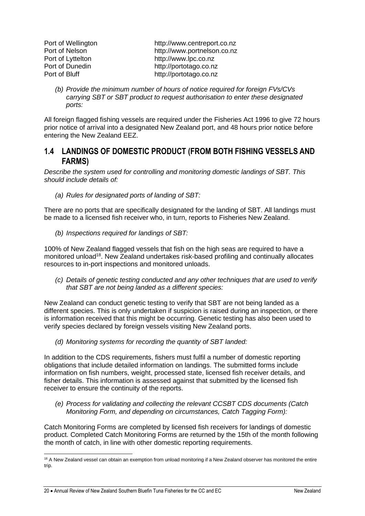Port of Wellington [http://www.centreport.co.nz](http://www.centreport.co.nz/) Port of Nelson **[http://www.portnelson.co.nz](http://www.portnelson.co.nz/)** Port of Lyttelton [http://www.lpc.co.nz](http://www.lpc.co.nz/) Port of Dunedin [http://portotago.co.nz](http://portotago.co.nz/) Port of Bluff [http://portotago.co.nz](http://portotago.co.nz/)

*(b) Provide the minimum number of hours of notice required for foreign FVs/CVs carrying SBT or SBT product to request authorisation to enter these designated ports:*

All foreign flagged fishing vessels are required under the Fisheries Act 1996 to give 72 hours prior notice of arrival into a designated New Zealand port, and 48 hours prior notice before entering the New Zealand EEZ.

## **1.4 LANDINGS OF DOMESTIC PRODUCT (FROM BOTH FISHING VESSELS AND FARMS)**

*Describe the system used for controlling and monitoring domestic landings of SBT. This should include details of:*

*(a) Rules for designated ports of landing of SBT:*

There are no ports that are specifically designated for the landing of SBT. All landings must be made to a licensed fish receiver who, in turn, reports to Fisheries New Zealand.

*(b) Inspections required for landings of SBT:*

100% of New Zealand flagged vessels that fish on the high seas are required to have a monitored unload<sup>18</sup>. New Zealand undertakes risk-based profiling and continually allocates resources to in-port inspections and monitored unloads.

*(c) Details of genetic testing conducted and any other techniques that are used to verify that SBT are not being landed as a different species:*

New Zealand can conduct genetic testing to verify that SBT are not being landed as a different species. This is only undertaken if suspicion is raised during an inspection, or there is information received that this might be occurring. Genetic testing has also been used to verify species declared by foreign vessels visiting New Zealand ports.

*(d) Monitoring systems for recording the quantity of SBT landed:*

In addition to the CDS requirements, fishers must fulfil a number of domestic reporting obligations that include detailed information on landings. The submitted forms include information on fish numbers, weight, processed state, licensed fish receiver details, and fisher details. This information is assessed against that submitted by the licensed fish receiver to ensure the continuity of the reports.

*(e) Process for validating and collecting the relevant CCSBT CDS documents (Catch Monitoring Form, and depending on circumstances, Catch Tagging Form):*

Catch Monitoring Forms are completed by licensed fish receivers for landings of domestic product. Completed Catch Monitoring Forms are returned by the 15th of the month following the month of catch, in line with other domestic reporting requirements.

<sup>&</sup>lt;sup>18</sup> A New Zealand vessel can obtain an exemption from unload monitoring if a New Zealand observer has monitored the entire trip.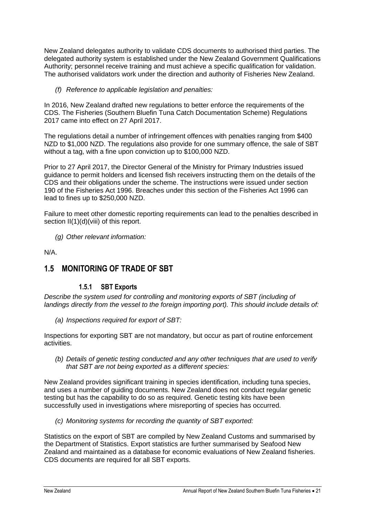New Zealand delegates authority to validate CDS documents to authorised third parties. The delegated authority system is established under the New Zealand Government Qualifications Authority; personnel receive training and must achieve a specific qualification for validation. The authorised validators work under the direction and authority of Fisheries New Zealand.

*(f) Reference to applicable legislation and penalties:*

In 2016, New Zealand drafted new regulations to better enforce the requirements of the CDS. The Fisheries (Southern Bluefin Tuna Catch Documentation Scheme) Regulations 2017 came into effect on 27 April 2017.

The regulations detail a number of infringement offences with penalties ranging from \$400 NZD to \$1,000 NZD. The regulations also provide for one summary offence, the sale of SBT without a tag, with a fine upon conviction up to \$100,000 NZD.

Prior to 27 April 2017, the Director General of the Ministry for Primary Industries issued guidance to permit holders and licensed fish receivers instructing them on the details of the CDS and their obligations under the scheme. The instructions were issued under section 190 of the Fisheries Act 1996. Breaches under this section of the Fisheries Act 1996 can lead to fines up to \$250,000 NZD.

Failure to meet other domestic reporting requirements can lead to the penalties described in section II(1)(d)(viii) of this report.

*(g) Other relevant information:*

N/A.

## **1.5 MONITORING OF TRADE OF SBT**

## **1.5.1 SBT Exports**

*Describe the system used for controlling and monitoring exports of SBT (including of landings directly from the vessel to the foreign importing port). This should include details of:*

*(a) Inspections required for export of SBT:*

Inspections for exporting SBT are not mandatory, but occur as part of routine enforcement activities.

*(b) Details of genetic testing conducted and any other techniques that are used to verify that SBT are not being exported as a different species:*

New Zealand provides significant training in species identification, including tuna species, and uses a number of guiding documents. New Zealand does not conduct regular genetic testing but has the capability to do so as required. Genetic testing kits have been successfully used in investigations where misreporting of species has occurred.

*(c) Monitoring systems for recording the quantity of SBT exported:*

Statistics on the export of SBT are compiled by New Zealand Customs and summarised by the Department of Statistics. Export statistics are further summarised by Seafood New Zealand and maintained as a database for economic evaluations of New Zealand fisheries. CDS documents are required for all SBT exports.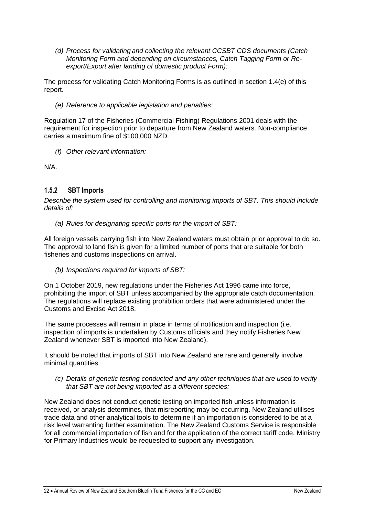*(d) Process for validating and collecting the relevant CCSBT CDS documents (Catch Monitoring Form and depending on circumstances, Catch Tagging Form or Reexport/Export after landing of domestic product Form):*

The process for validating Catch Monitoring Forms is as outlined in section 1.4(e) of this report.

*(e) Reference to applicable legislation and penalties:*

Regulation 17 of the Fisheries (Commercial Fishing) Regulations 2001 deals with the requirement for inspection prior to departure from New Zealand waters. Non-compliance carries a maximum fine of \$100,000 NZD.

*(f) Other relevant information:*

N/A.

## **1.5.2 SBT Imports**

*Describe the system used for controlling and monitoring imports of SBT. This should include details of:*

*(a) Rules for designating specific ports for the import of SBT:*

All foreign vessels carrying fish into New Zealand waters must obtain prior approval to do so. The approval to land fish is given for a limited number of ports that are suitable for both fisheries and customs inspections on arrival.

*(b) Inspections required for imports of SBT:*

On 1 October 2019, new regulations under the Fisheries Act 1996 came into force, prohibiting the import of SBT unless accompanied by the appropriate catch documentation. The regulations will replace existing prohibition orders that were administered under the Customs and Excise Act 2018.

The same processes will remain in place in terms of notification and inspection (i.e. inspection of imports is undertaken by Customs officials and they notify Fisheries New Zealand whenever SBT is imported into New Zealand).

It should be noted that imports of SBT into New Zealand are rare and generally involve minimal quantities.

*(c) Details of genetic testing conducted and any other techniques that are used to verify that SBT are not being imported as a different species:*

New Zealand does not conduct genetic testing on imported fish unless information is received, or analysis determines, that misreporting may be occurring. New Zealand utilises trade data and other analytical tools to determine if an importation is considered to be at a risk level warranting further examination. The New Zealand Customs Service is responsible for all commercial importation of fish and for the application of the correct tariff code. Ministry for Primary Industries would be requested to support any investigation.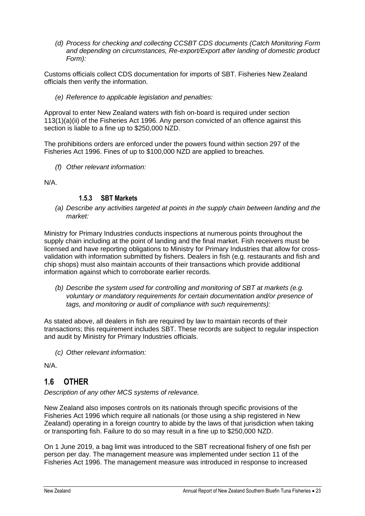*(d) Process for checking and collecting CCSBT CDS documents (Catch Monitoring Form and depending on circumstances, Re-export/Export after landing of domestic product Form):*

Customs officials collect CDS documentation for imports of SBT. Fisheries New Zealand officials then verify the information.

*(e) Reference to applicable legislation and penalties:*

Approval to enter New Zealand waters with fish on-board is required under section 113(1)(a)(ii) of the Fisheries Act 1996. Any person convicted of an offence against this section is liable to a fine up to \$250,000 NZD.

The prohibitions orders are enforced under the powers found within section 297 of the Fisheries Act 1996. Fines of up to \$100,000 NZD are applied to breaches.

*(f) Other relevant information:*

N/A.

### **1.5.3 SBT Markets**

*(a) Describe any activities targeted at points in the supply chain between landing and the market:*

Ministry for Primary Industries conducts inspections at numerous points throughout the supply chain including at the point of landing and the final market. Fish receivers must be licensed and have reporting obligations to Ministry for Primary Industries that allow for crossvalidation with information submitted by fishers. Dealers in fish (e.g. restaurants and fish and chip shops) must also maintain accounts of their transactions which provide additional information against which to corroborate earlier records.

*(b) Describe the system used for controlling and monitoring of SBT at markets (e.g. voluntary or mandatory requirements for certain documentation and/or presence of tags, and monitoring or audit of compliance with such requirements):*

As stated above, all dealers in fish are required by law to maintain records of their transactions; this requirement includes SBT. These records are subject to regular inspection and audit by Ministry for Primary Industries officials.

*(c) Other relevant information:*

N/A.

## **1.6 OTHER**

*Description of any other MCS systems of relevance.*

New Zealand also imposes controls on its nationals through specific provisions of the Fisheries Act 1996 which require all nationals (or those using a ship registered in New Zealand) operating in a foreign country to abide by the laws of that jurisdiction when taking or transporting fish. Failure to do so may result in a fine up to \$250,000 NZD.

On 1 June 2019, a bag limit was introduced to the SBT recreational fishery of one fish per person per day. The management measure was implemented under section 11 of the Fisheries Act 1996. The management measure was introduced in response to increased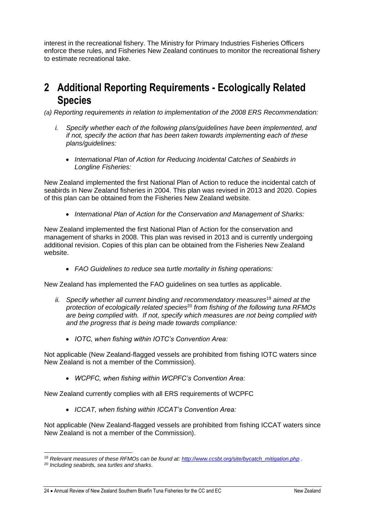interest in the recreational fishery. The Ministry for Primary Industries Fisheries Officers enforce these rules, and Fisheries New Zealand continues to monitor the recreational fishery to estimate recreational take.

# **2 Additional Reporting Requirements - Ecologically Related Species**

*(a) Reporting requirements in relation to implementation of the 2008 ERS Recommendation:*

- *i. Specify whether each of the following plans/guidelines have been implemented, and if not, specify the action that has been taken towards implementing each of these plans/guidelines:*
	- *International Plan of Action for Reducing Incidental Catches of Seabirds in Longline Fisheries:*

New Zealand implemented the first National Plan of Action to reduce the incidental catch of seabirds in New Zealand fisheries in 2004. This plan was revised in 2013 and 2020. Copies of this plan can be obtained from the Fisheries New Zealand website.

• *International Plan of Action for the Conservation and Management of Sharks:*

New Zealand implemented the first National Plan of Action for the conservation and management of sharks in 2008. This plan was revised in 2013 and is currently undergoing additional revision. Copies of this plan can be obtained from the Fisheries New Zealand website.

• *FAO Guidelines to reduce sea turtle mortality in fishing operations:*

New Zealand has implemented the FAO guidelines on sea turtles as applicable.

- *ii. Specify whether all current binding and recommendatory measures*<sup>19</sup> *aimed at the protection of ecologically related species*<sup>20</sup> *from fishing of the following tuna RFMOs are being complied with. If not, specify which measures are not being complied with and the progress that is being made towards compliance:*
	- *IOTC, when fishing within IOTC's Convention Area:*

Not applicable (New Zealand-flagged vessels are prohibited from fishing IOTC waters since New Zealand is not a member of the Commission).

• *WCPFC, when fishing within WCPFC's Convention Area:*

New Zealand currently complies with all ERS requirements of WCPFC

• *ICCAT, when fishing within ICCAT's Convention Area:*

Not applicable (New Zealand-flagged vessels are prohibited from fishing ICCAT waters since New Zealand is not a member of the Commission).

<sup>19</sup> *Relevant measures of these RFMOs can be found at: [http://www.ccsbt.org/site/bycatch\\_mitigation.php](http://www.ccsbt.org/site/bycatch_mitigation.php) .*

<sup>20</sup> *Including seabirds, sea turtles and sharks.*

<sup>24 •</sup> Annual Review of New Zealand Southern Bluefin Tuna Fisheries for the CC and FC New Zealand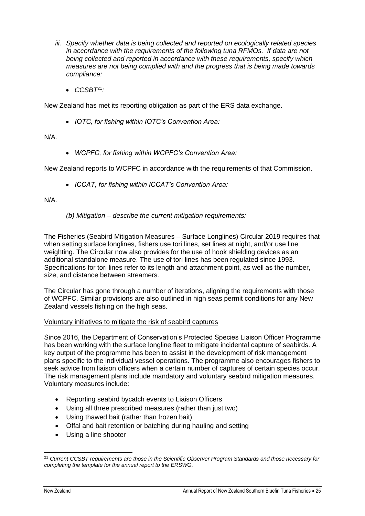- *iii. Specify whether data is being collected and reported on ecologically related species in accordance with the requirements of the following tuna RFMOs. If data are not being collected and reported in accordance with these requirements, specify which measures are not being complied with and the progress that is being made towards compliance:*
	- *CCSBT*<sup>21</sup>*:*

New Zealand has met its reporting obligation as part of the ERS data exchange.

• *IOTC, for fishing within IOTC's Convention Area:*

N/A.

• *WCPFC, for fishing within WCPFC's Convention Area:*

New Zealand reports to WCPFC in accordance with the requirements of that Commission.

• *ICCAT, for fishing within ICCAT's Convention Area:*

N/A.

*(b) Mitigation – describe the current mitigation requirements:*

The Fisheries (Seabird Mitigation Measures – Surface Longlines) Circular 2019 requires that when setting surface longlines, fishers use tori lines, set lines at night, and/or use line weighting. The Circular now also provides for the use of hook shielding devices as an additional standalone measure. The use of tori lines has been regulated since 1993. Specifications for tori lines refer to its length and attachment point, as well as the number, size, and distance between streamers.

The Circular has gone through a number of iterations, aligning the requirements with those of WCPFC. Similar provisions are also outlined in high seas permit conditions for any New Zealand vessels fishing on the high seas.

#### Voluntary initiatives to mitigate the risk of seabird captures

Since 2016, the Department of Conservation's Protected Species Liaison Officer Programme has been working with the surface longline fleet to mitigate incidental capture of seabirds. A key output of the programme has been to assist in the development of risk management plans specific to the individual vessel operations. The programme also encourages fishers to seek advice from liaison officers when a certain number of captures of certain species occur. The risk management plans include mandatory and voluntary seabird mitigation measures. Voluntary measures include:

- Reporting seabird bycatch events to Liaison Officers
- Using all three prescribed measures (rather than just two)
- Using thawed bait (rather than frozen bait)
- Offal and bait retention or batching during hauling and setting
- Using a line shooter

<sup>21</sup> *Current CCSBT requirements are those in the Scientific Observer Program Standards and those necessary for completing the template for the annual report to the ERSWG.*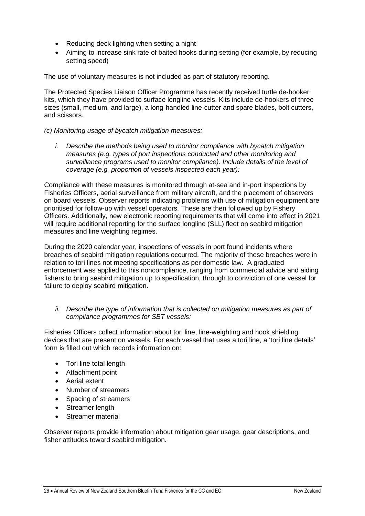- Reducing deck lighting when setting a night
- Aiming to increase sink rate of baited hooks during setting (for example, by reducing setting speed)

The use of voluntary measures is not included as part of statutory reporting.

The Protected Species Liaison Officer Programme has recently received turtle de-hooker kits, which they have provided to surface longline vessels. Kits include de-hookers of three sizes (small, medium, and large), a long-handled line-cutter and spare blades, bolt cutters, and scissors.

#### *(c) Monitoring usage of bycatch mitigation measures:*

*i. Describe the methods being used to monitor compliance with bycatch mitigation measures (e.g. types of port inspections conducted and other monitoring and surveillance programs used to monitor compliance). Include details of the level of coverage (e.g. proportion of vessels inspected each year):*

Compliance with these measures is monitored through at-sea and in-port inspections by Fisheries Officers, aerial surveillance from military aircraft, and the placement of observers on board vessels. Observer reports indicating problems with use of mitigation equipment are prioritised for follow-up with vessel operators. These are then followed up by Fishery Officers. Additionally, new electronic reporting requirements that will come into effect in 2021 will require additional reporting for the surface longline (SLL) fleet on seabird mitigation measures and line weighting regimes.

During the 2020 calendar year, inspections of vessels in port found incidents where breaches of seabird mitigation regulations occurred. The majority of these breaches were in relation to tori lines not meeting specifications as per domestic law. A graduated enforcement was applied to this noncompliance, ranging from commercial advice and aiding fishers to bring seabird mitigation up to specification, through to conviction of one vessel for failure to deploy seabird mitigation.

#### *ii. Describe the type of information that is collected on mitigation measures as part of compliance programmes for SBT vessels:*

Fisheries Officers collect information about tori line, line-weighting and hook shielding devices that are present on vessels. For each vessel that uses a tori line, a 'tori line details' form is filled out which records information on:

- Tori line total length
- Attachment point
- Aerial extent
- Number of streamers
- Spacing of streamers
- Streamer length
- Streamer material

Observer reports provide information about mitigation gear usage, gear descriptions, and fisher attitudes toward seabird mitigation.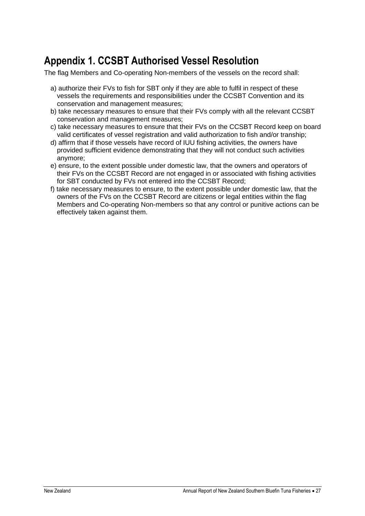# **Appendix 1. CCSBT Authorised Vessel Resolution**

The flag Members and Co-operating Non-members of the vessels on the record shall:

- a) authorize their FVs to fish for SBT only if they are able to fulfil in respect of these vessels the requirements and responsibilities under the CCSBT Convention and its conservation and management measures;
- b) take necessary measures to ensure that their FVs comply with all the relevant CCSBT conservation and management measures;
- c) take necessary measures to ensure that their FVs on the CCSBT Record keep on board valid certificates of vessel registration and valid authorization to fish and/or tranship;
- d) affirm that if those vessels have record of IUU fishing activities, the owners have provided sufficient evidence demonstrating that they will not conduct such activities anymore;
- e) ensure, to the extent possible under domestic law, that the owners and operators of their FVs on the CCSBT Record are not engaged in or associated with fishing activities for SBT conducted by FVs not entered into the CCSBT Record;
- f) take necessary measures to ensure, to the extent possible under domestic law, that the owners of the FVs on the CCSBT Record are citizens or legal entities within the flag Members and Co-operating Non-members so that any control or punitive actions can be effectively taken against them.